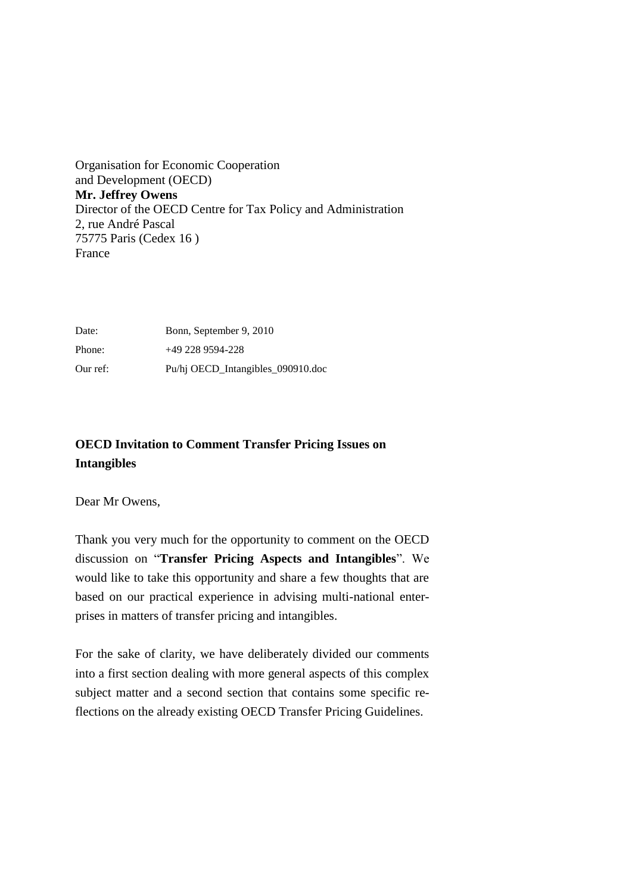Organisation for Economic Cooperation and Development (OECD) **Mr. Jeffrey Owens**  Director of the OECD Centre for Tax Policy and Administration 2, rue André Pascal 75775 Paris (Cedex 16 ) France

Date: Bonn, September 9, 2010 Phone: +49 228 9594-228 Our ref: Pu/hj OECD\_Intangibles\_090910.doc

# **OECD Invitation to Comment Transfer Pricing Issues on Intangibles**

Dear Mr Owens,

Thank you very much for the opportunity to comment on the OECD discussion on "**Transfer Pricing Aspects and Intangibles**". We would like to take this opportunity and share a few thoughts that are based on our practical experience in advising multi-national enterprises in matters of transfer pricing and intangibles.

For the sake of clarity, we have deliberately divided our comments into a first section dealing with more general aspects of this complex subject matter and a second section that contains some specific reflections on the already existing OECD Transfer Pricing Guidelines.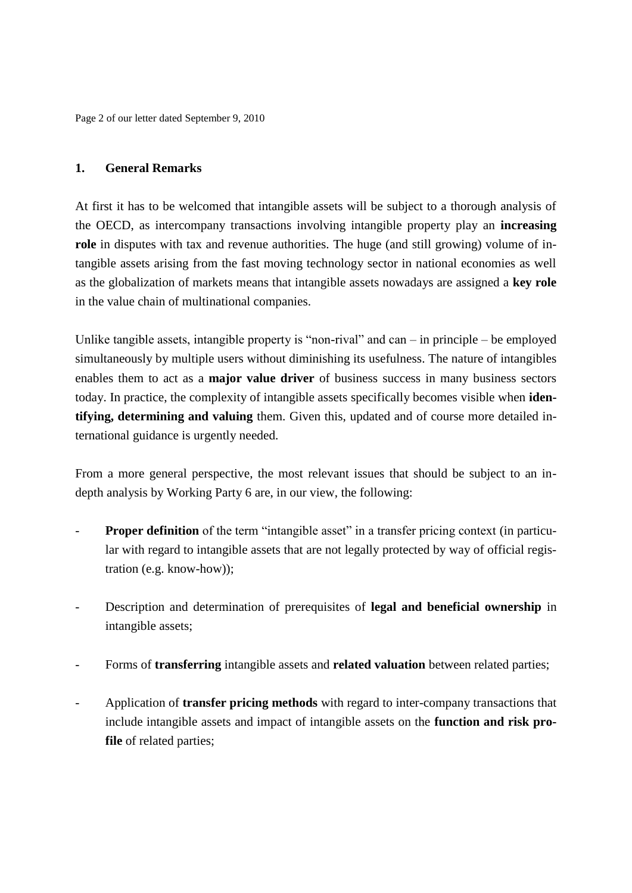Page 2 of our letter dated September 9, 2010

# **1. General Remarks**

At first it has to be welcomed that intangible assets will be subject to a thorough analysis of the OECD, as intercompany transactions involving intangible property play an **increasing role** in disputes with tax and revenue authorities. The huge (and still growing) volume of intangible assets arising from the fast moving technology sector in national economies as well as the globalization of markets means that intangible assets nowadays are assigned a **key role** in the value chain of multinational companies.

Unlike tangible assets, intangible property is "non-rival" and can – in principle – be employed simultaneously by multiple users without diminishing its usefulness. The nature of intangibles enables them to act as a **major value driver** of business success in many business sectors today. In practice, the complexity of intangible assets specifically becomes visible when **identifying, determining and valuing** them. Given this, updated and of course more detailed international guidance is urgently needed.

From a more general perspective, the most relevant issues that should be subject to an indepth analysis by Working Party 6 are, in our view, the following:

- **Proper definition** of the term "intangible asset" in a transfer pricing context (in particular with regard to intangible assets that are not legally protected by way of official registration (e.g. know-how));
- Description and determination of prerequisites of **legal and beneficial ownership** in intangible assets;
- Forms of **transferring** intangible assets and **related valuation** between related parties;
- Application of **transfer pricing methods** with regard to inter-company transactions that include intangible assets and impact of intangible assets on the **function and risk profile** of related parties;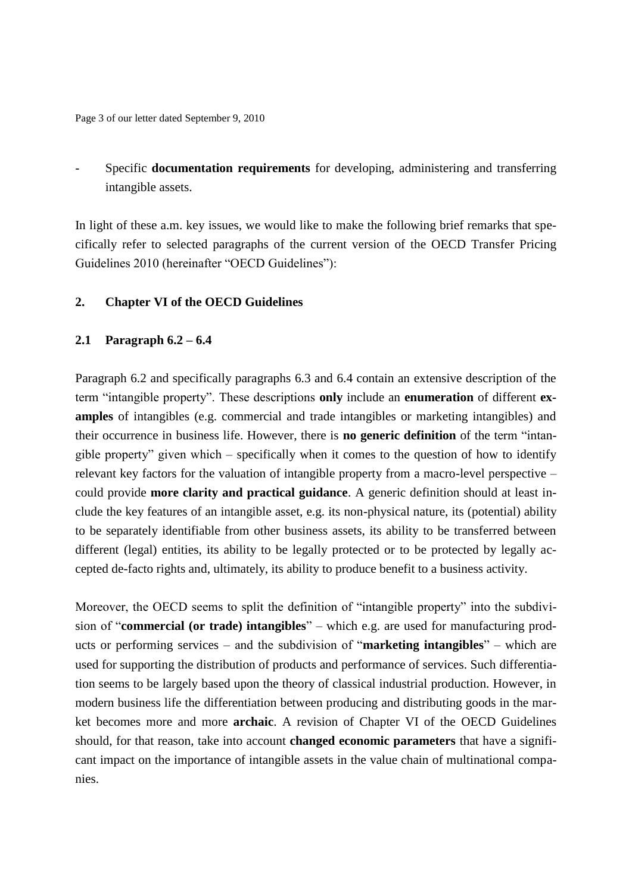Page 3 of our letter dated September 9, 2010

- Specific **documentation requirements** for developing, administering and transferring intangible assets.

In light of these a.m. key issues, we would like to make the following brief remarks that specifically refer to selected paragraphs of the current version of the OECD Transfer Pricing Guidelines 2010 (hereinafter "OECD Guidelines"):

## **2. Chapter VI of the OECD Guidelines**

## **2.1 Paragraph 6.2 – 6.4**

Paragraph 6.2 and specifically paragraphs 6.3 and 6.4 contain an extensive description of the term "intangible property". These descriptions **only** include an **enumeration** of different **examples** of intangibles (e.g. commercial and trade intangibles or marketing intangibles) and their occurrence in business life. However, there is **no generic definition** of the term "intangible property" given which – specifically when it comes to the question of how to identify relevant key factors for the valuation of intangible property from a macro-level perspective – could provide **more clarity and practical guidance**. A generic definition should at least include the key features of an intangible asset, e.g. its non-physical nature, its (potential) ability to be separately identifiable from other business assets, its ability to be transferred between different (legal) entities, its ability to be legally protected or to be protected by legally accepted de-facto rights and, ultimately, its ability to produce benefit to a business activity.

Moreover, the OECD seems to split the definition of "intangible property" into the subdivision of "**commercial (or trade) intangibles**" – which e.g. are used for manufacturing products or performing services – and the subdivision of "**marketing intangibles**" – which are used for supporting the distribution of products and performance of services. Such differentiation seems to be largely based upon the theory of classical industrial production. However, in modern business life the differentiation between producing and distributing goods in the market becomes more and more **archaic**. A revision of Chapter VI of the OECD Guidelines should, for that reason, take into account **changed economic parameters** that have a significant impact on the importance of intangible assets in the value chain of multinational companies.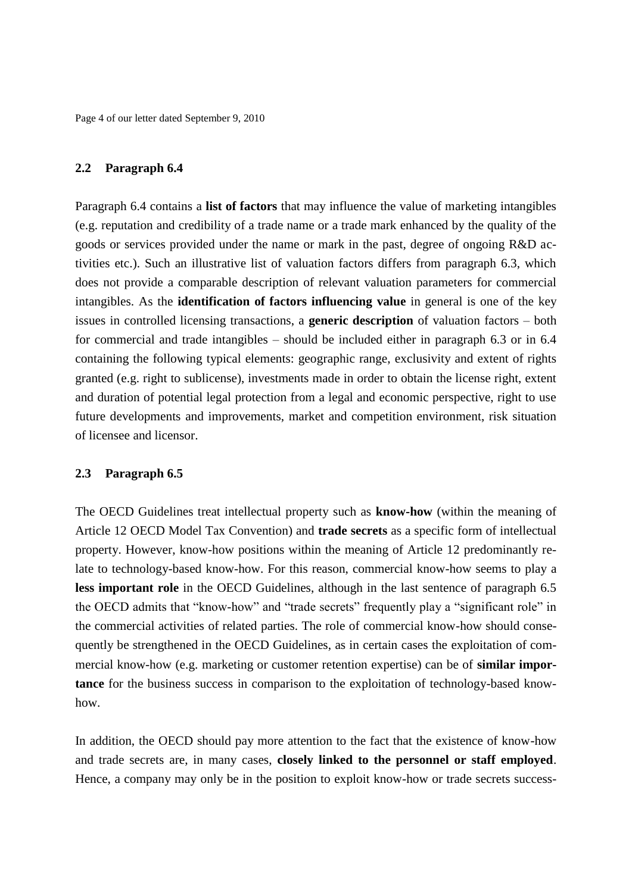Page 4 of our letter dated September 9, 2010

#### **2.2 Paragraph 6.4**

Paragraph 6.4 contains a **list of factors** that may influence the value of marketing intangibles (e.g. reputation and credibility of a trade name or a trade mark enhanced by the quality of the goods or services provided under the name or mark in the past, degree of ongoing R&D activities etc.). Such an illustrative list of valuation factors differs from paragraph 6.3, which does not provide a comparable description of relevant valuation parameters for commercial intangibles. As the **identification of factors influencing value** in general is one of the key issues in controlled licensing transactions, a **generic description** of valuation factors – both for commercial and trade intangibles – should be included either in paragraph 6.3 or in 6.4 containing the following typical elements: geographic range, exclusivity and extent of rights granted (e.g. right to sublicense), investments made in order to obtain the license right, extent and duration of potential legal protection from a legal and economic perspective, right to use future developments and improvements, market and competition environment, risk situation of licensee and licensor.

#### **2.3 Paragraph 6.5**

The OECD Guidelines treat intellectual property such as **know-how** (within the meaning of Article 12 OECD Model Tax Convention) and **trade secrets** as a specific form of intellectual property. However, know-how positions within the meaning of Article 12 predominantly relate to technology-based know-how. For this reason, commercial know-how seems to play a less important role in the OECD Guidelines, although in the last sentence of paragraph 6.5 the OECD admits that "know-how" and "trade secrets" frequently play a "significant role" in the commercial activities of related parties. The role of commercial know-how should consequently be strengthened in the OECD Guidelines, as in certain cases the exploitation of commercial know-how (e.g. marketing or customer retention expertise) can be of **similar importance** for the business success in comparison to the exploitation of technology-based knowhow.

In addition, the OECD should pay more attention to the fact that the existence of know-how and trade secrets are, in many cases, **closely linked to the personnel or staff employed**. Hence, a company may only be in the position to exploit know-how or trade secrets success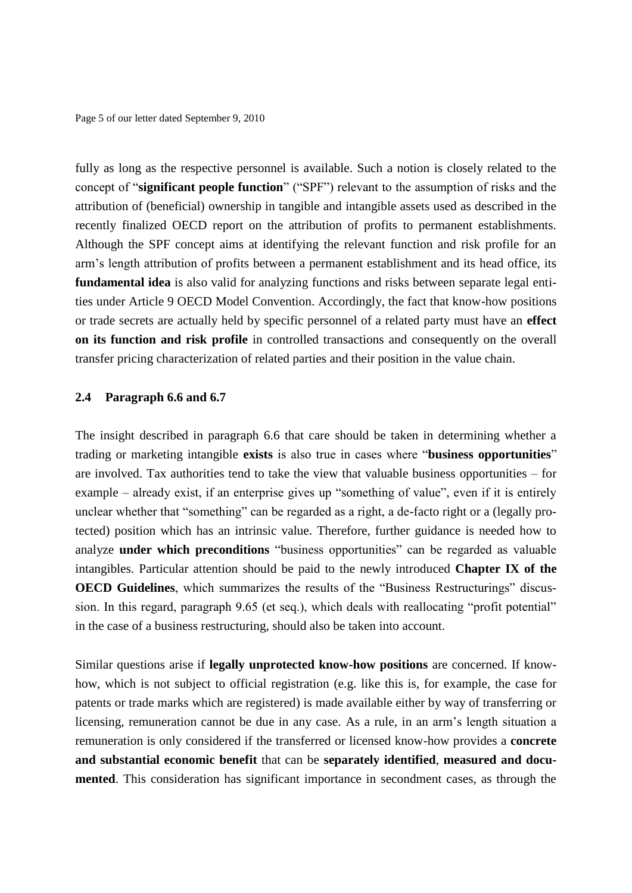Page 5 of our letter dated September 9, 2010

fully as long as the respective personnel is available. Such a notion is closely related to the concept of "**significant people function**" ("SPF") relevant to the assumption of risks and the attribution of (beneficial) ownership in tangible and intangible assets used as described in the recently finalized OECD report on the attribution of profits to permanent establishments. Although the SPF concept aims at identifying the relevant function and risk profile for an arm's length attribution of profits between a permanent establishment and its head office, its **fundamental idea** is also valid for analyzing functions and risks between separate legal entities under Article 9 OECD Model Convention. Accordingly, the fact that know-how positions or trade secrets are actually held by specific personnel of a related party must have an **effect on its function and risk profile** in controlled transactions and consequently on the overall transfer pricing characterization of related parties and their position in the value chain.

#### **2.4 Paragraph 6.6 and 6.7**

The insight described in paragraph 6.6 that care should be taken in determining whether a trading or marketing intangible **exists** is also true in cases where "**business opportunities**" are involved. Tax authorities tend to take the view that valuable business opportunities – for example – already exist, if an enterprise gives up "something of value", even if it is entirely unclear whether that "something" can be regarded as a right, a de-facto right or a (legally protected) position which has an intrinsic value. Therefore, further guidance is needed how to analyze **under which preconditions** "business opportunities" can be regarded as valuable intangibles. Particular attention should be paid to the newly introduced **Chapter IX of the OECD Guidelines**, which summarizes the results of the "Business Restructurings" discussion. In this regard, paragraph 9.65 (et seq.), which deals with reallocating "profit potential" in the case of a business restructuring, should also be taken into account.

Similar questions arise if **legally unprotected know-how positions** are concerned. If knowhow, which is not subject to official registration (e.g. like this is, for example, the case for patents or trade marks which are registered) is made available either by way of transferring or licensing, remuneration cannot be due in any case. As a rule, in an arm's length situation a remuneration is only considered if the transferred or licensed know-how provides a **concrete and substantial economic benefit** that can be **separately identified**, **measured and documented**. This consideration has significant importance in secondment cases, as through the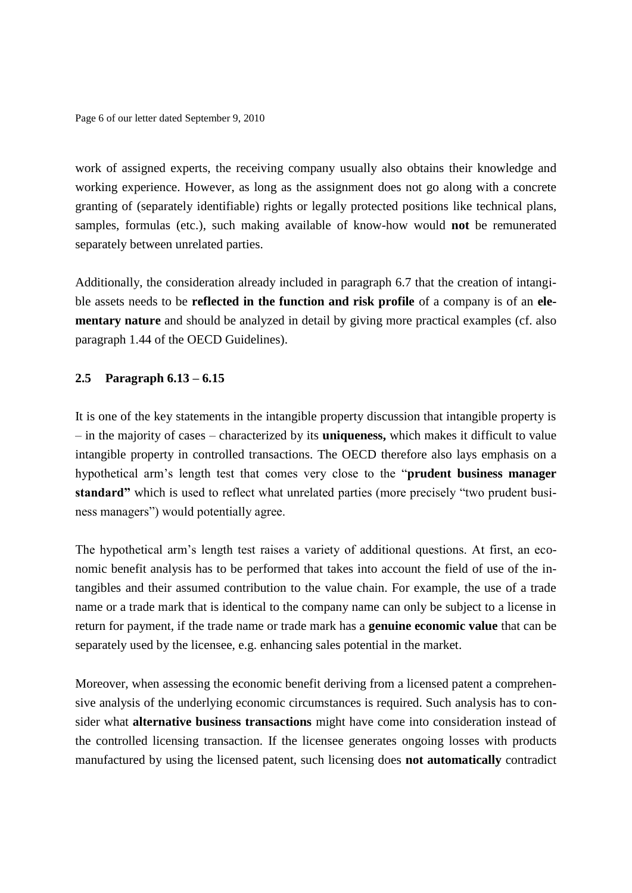Page 6 of our letter dated September 9, 2010

work of assigned experts, the receiving company usually also obtains their knowledge and working experience. However, as long as the assignment does not go along with a concrete granting of (separately identifiable) rights or legally protected positions like technical plans, samples, formulas (etc.), such making available of know-how would **not** be remunerated separately between unrelated parties.

Additionally, the consideration already included in paragraph 6.7 that the creation of intangible assets needs to be **reflected in the function and risk profile** of a company is of an **elementary nature** and should be analyzed in detail by giving more practical examples (cf. also paragraph 1.44 of the OECD Guidelines).

## **2.5 Paragraph 6.13 – 6.15**

It is one of the key statements in the intangible property discussion that intangible property is – in the majority of cases – characterized by its **uniqueness,** which makes it difficult to value intangible property in controlled transactions. The OECD therefore also lays emphasis on a hypothetical arm's length test that comes very close to the "**prudent business manager standard"** which is used to reflect what unrelated parties (more precisely "two prudent business managers") would potentially agree.

The hypothetical arm's length test raises a variety of additional questions. At first, an economic benefit analysis has to be performed that takes into account the field of use of the intangibles and their assumed contribution to the value chain. For example, the use of a trade name or a trade mark that is identical to the company name can only be subject to a license in return for payment, if the trade name or trade mark has a **genuine economic value** that can be separately used by the licensee, e.g. enhancing sales potential in the market.

Moreover, when assessing the economic benefit deriving from a licensed patent a comprehensive analysis of the underlying economic circumstances is required. Such analysis has to consider what **alternative business transactions** might have come into consideration instead of the controlled licensing transaction. If the licensee generates ongoing losses with products manufactured by using the licensed patent, such licensing does **not automatically** contradict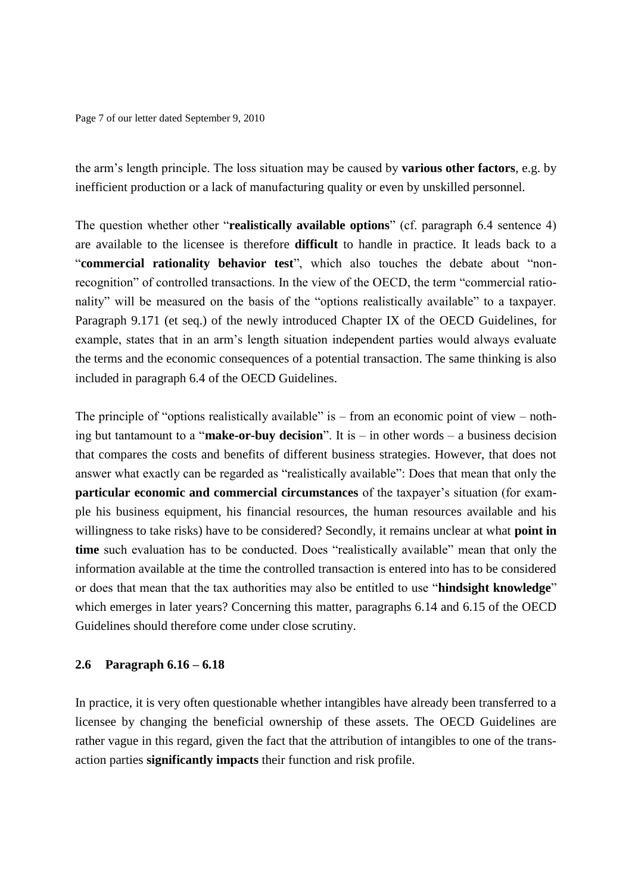Page 7 of our letter dated September 9, 2010

the arm's length principle. The loss situation may be caused by **various other factors**, e.g. by inefficient production or a lack of manufacturing quality or even by unskilled personnel.

The question whether other "**realistically available options**" (cf. paragraph 6.4 sentence 4) are available to the licensee is therefore **difficult** to handle in practice. It leads back to a "**commercial rationality behavior test**", which also touches the debate about "nonrecognition" of controlled transactions. In the view of the OECD, the term "commercial rationality" will be measured on the basis of the "options realistically available" to a taxpayer. Paragraph 9.171 (et seq.) of the newly introduced Chapter IX of the OECD Guidelines, for example, states that in an arm's length situation independent parties would always evaluate the terms and the economic consequences of a potential transaction. The same thinking is also included in paragraph 6.4 of the OECD Guidelines.

The principle of "options realistically available" is – from an economic point of view – nothing but tantamount to a "**make-or-buy decision**". It is – in other words – a business decision that compares the costs and benefits of different business strategies. However, that does not answer what exactly can be regarded as "realistically available": Does that mean that only the **particular economic and commercial circumstances** of the taxpayer's situation (for example his business equipment, his financial resources, the human resources available and his willingness to take risks) have to be considered? Secondly, it remains unclear at what **point in time** such evaluation has to be conducted. Does "realistically available" mean that only the information available at the time the controlled transaction is entered into has to be considered or does that mean that the tax authorities may also be entitled to use "**hindsight knowledge**" which emerges in later years? Concerning this matter, paragraphs 6.14 and 6.15 of the OECD Guidelines should therefore come under close scrutiny.

#### **2.6 Paragraph 6.16 – 6.18**

In practice, it is very often questionable whether intangibles have already been transferred to a licensee by changing the beneficial ownership of these assets. The OECD Guidelines are rather vague in this regard, given the fact that the attribution of intangibles to one of the transaction parties **significantly impacts** their function and risk profile.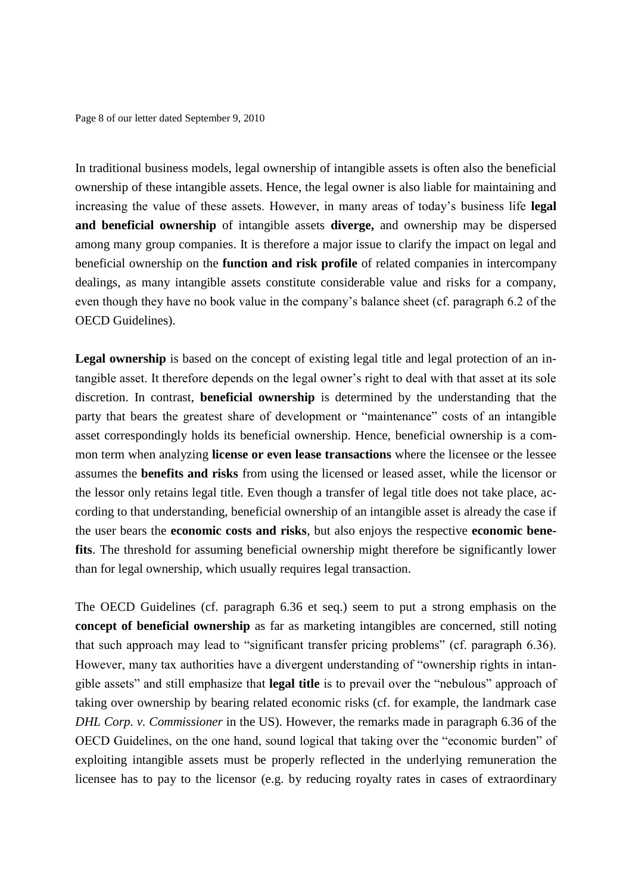Page 8 of our letter dated September 9, 2010

In traditional business models, legal ownership of intangible assets is often also the beneficial ownership of these intangible assets. Hence, the legal owner is also liable for maintaining and increasing the value of these assets. However, in many areas of today's business life **legal and beneficial ownership** of intangible assets **diverge,** and ownership may be dispersed among many group companies. It is therefore a major issue to clarify the impact on legal and beneficial ownership on the **function and risk profile** of related companies in intercompany dealings, as many intangible assets constitute considerable value and risks for a company, even though they have no book value in the company's balance sheet (cf. paragraph 6.2 of the OECD Guidelines).

Legal ownership is based on the concept of existing legal title and legal protection of an intangible asset. It therefore depends on the legal owner's right to deal with that asset at its sole discretion. In contrast, **beneficial ownership** is determined by the understanding that the party that bears the greatest share of development or "maintenance" costs of an intangible asset correspondingly holds its beneficial ownership. Hence, beneficial ownership is a common term when analyzing **license or even lease transactions** where the licensee or the lessee assumes the **benefits and risks** from using the licensed or leased asset, while the licensor or the lessor only retains legal title. Even though a transfer of legal title does not take place, according to that understanding, beneficial ownership of an intangible asset is already the case if the user bears the **economic costs and risks**, but also enjoys the respective **economic benefits**. The threshold for assuming beneficial ownership might therefore be significantly lower than for legal ownership, which usually requires legal transaction.

The OECD Guidelines (cf. paragraph 6.36 et seq.) seem to put a strong emphasis on the **concept of beneficial ownership** as far as marketing intangibles are concerned, still noting that such approach may lead to "significant transfer pricing problems" (cf. paragraph 6.36). However, many tax authorities have a divergent understanding of "ownership rights in intangible assets" and still emphasize that **legal title** is to prevail over the "nebulous" approach of taking over ownership by bearing related economic risks (cf. for example, the landmark case *DHL Corp. v. Commissioner* in the US). However, the remarks made in paragraph 6.36 of the OECD Guidelines, on the one hand, sound logical that taking over the "economic burden" of exploiting intangible assets must be properly reflected in the underlying remuneration the licensee has to pay to the licensor (e.g. by reducing royalty rates in cases of extraordinary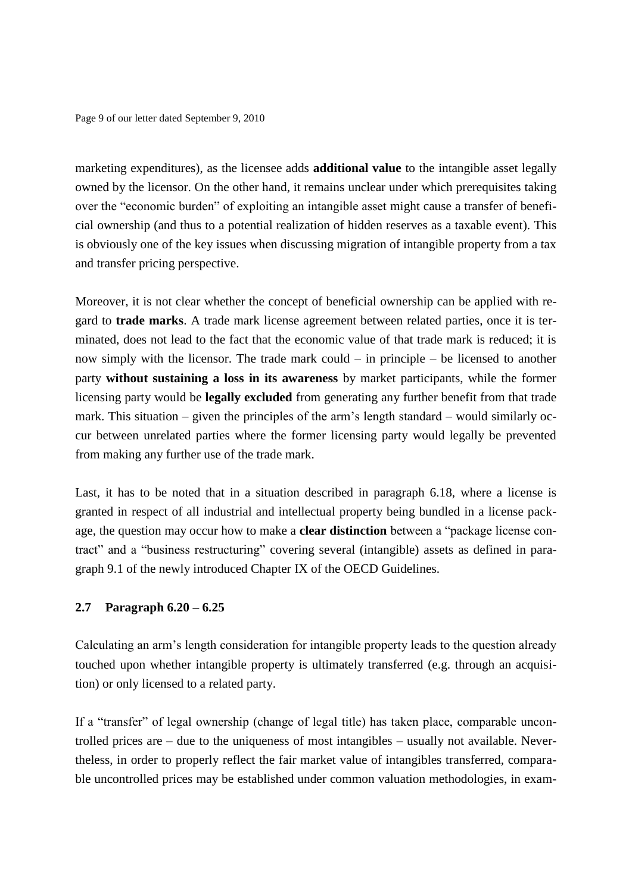Page 9 of our letter dated September 9, 2010

marketing expenditures), as the licensee adds **additional value** to the intangible asset legally owned by the licensor. On the other hand, it remains unclear under which prerequisites taking over the "economic burden" of exploiting an intangible asset might cause a transfer of beneficial ownership (and thus to a potential realization of hidden reserves as a taxable event). This is obviously one of the key issues when discussing migration of intangible property from a tax and transfer pricing perspective.

Moreover, it is not clear whether the concept of beneficial ownership can be applied with regard to **trade marks**. A trade mark license agreement between related parties, once it is terminated, does not lead to the fact that the economic value of that trade mark is reduced; it is now simply with the licensor. The trade mark could – in principle – be licensed to another party **without sustaining a loss in its awareness** by market participants, while the former licensing party would be **legally excluded** from generating any further benefit from that trade mark. This situation – given the principles of the arm's length standard – would similarly occur between unrelated parties where the former licensing party would legally be prevented from making any further use of the trade mark.

Last, it has to be noted that in a situation described in paragraph 6.18, where a license is granted in respect of all industrial and intellectual property being bundled in a license package, the question may occur how to make a **clear distinction** between a "package license contract" and a "business restructuring" covering several (intangible) assets as defined in paragraph 9.1 of the newly introduced Chapter IX of the OECD Guidelines.

# **2.7 Paragraph 6.20 – 6.25**

Calculating an arm's length consideration for intangible property leads to the question already touched upon whether intangible property is ultimately transferred (e.g. through an acquisition) or only licensed to a related party.

If a "transfer" of legal ownership (change of legal title) has taken place, comparable uncontrolled prices are – due to the uniqueness of most intangibles – usually not available. Nevertheless, in order to properly reflect the fair market value of intangibles transferred, comparable uncontrolled prices may be established under common valuation methodologies, in exam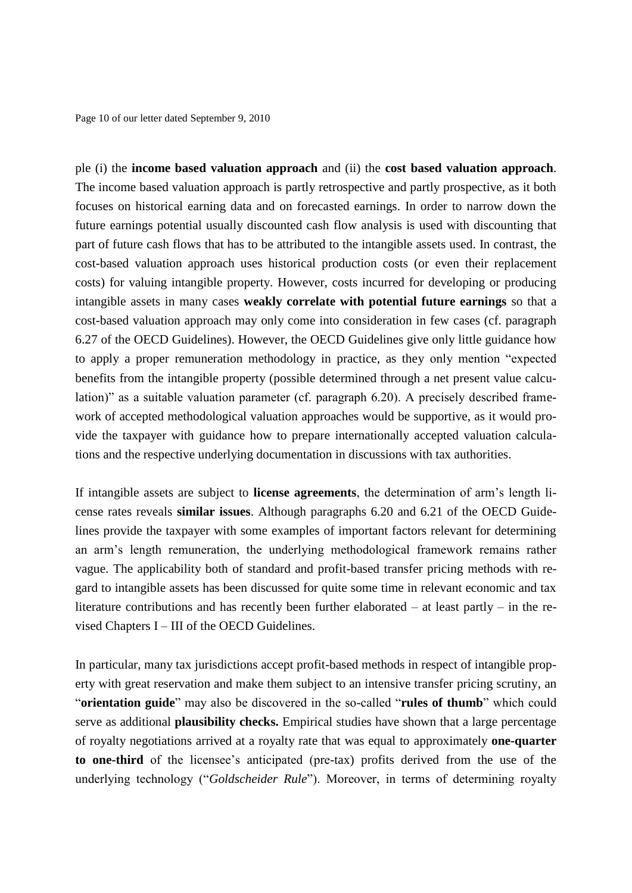Page 10 of our letter dated September 9, 2010

ple (i) the **income based valuation approach** and (ii) the **cost based valuation approach**. The income based valuation approach is partly retrospective and partly prospective, as it both focuses on historical earning data and on forecasted earnings. In order to narrow down the future earnings potential usually discounted cash flow analysis is used with discounting that part of future cash flows that has to be attributed to the intangible assets used. In contrast, the cost-based valuation approach uses historical production costs (or even their replacement costs) for valuing intangible property. However, costs incurred for developing or producing intangible assets in many cases **weakly correlate with potential future earnings** so that a cost-based valuation approach may only come into consideration in few cases (cf. paragraph 6.27 of the OECD Guidelines). However, the OECD Guidelines give only little guidance how to apply a proper remuneration methodology in practice, as they only mention "expected benefits from the intangible property (possible determined through a net present value calculation)" as a suitable valuation parameter (cf. paragraph 6.20). A precisely described framework of accepted methodological valuation approaches would be supportive, as it would provide the taxpayer with guidance how to prepare internationally accepted valuation calculations and the respective underlying documentation in discussions with tax authorities.

If intangible assets are subject to **license agreements**, the determination of arm's length license rates reveals **similar issues**. Although paragraphs 6.20 and 6.21 of the OECD Guidelines provide the taxpayer with some examples of important factors relevant for determining an arm's length remuneration, the underlying methodological framework remains rather vague. The applicability both of standard and profit-based transfer pricing methods with regard to intangible assets has been discussed for quite some time in relevant economic and tax literature contributions and has recently been further elaborated – at least partly – in the revised Chapters I – III of the OECD Guidelines.

In particular, many tax jurisdictions accept profit-based methods in respect of intangible property with great reservation and make them subject to an intensive transfer pricing scrutiny, an "**orientation guide**" may also be discovered in the so-called "**rules of thumb**" which could serve as additional **plausibility checks.** Empirical studies have shown that a large percentage of royalty negotiations arrived at a royalty rate that was equal to approximately **one-quarter to one-third** of the licensee's anticipated (pre-tax) profits derived from the use of the underlying technology ("*Goldscheider Rule*"). Moreover, in terms of determining royalty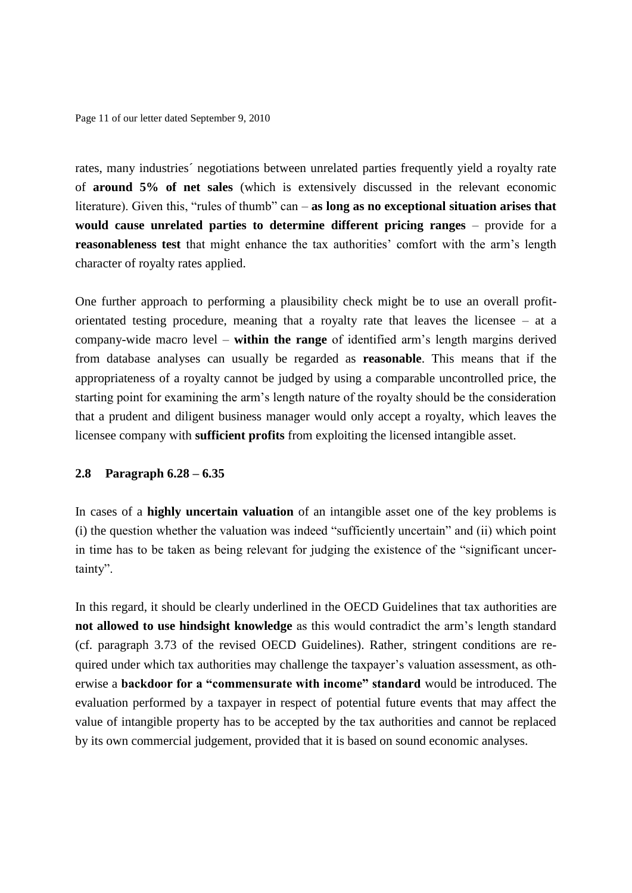Page 11 of our letter dated September 9, 2010

rates, many industries´ negotiations between unrelated parties frequently yield a royalty rate of **around 5% of net sales** (which is extensively discussed in the relevant economic literature). Given this, "rules of thumb" can – **as long as no exceptional situation arises that would cause unrelated parties to determine different pricing ranges** – provide for a **reasonableness test** that might enhance the tax authorities' comfort with the arm's length character of royalty rates applied.

One further approach to performing a plausibility check might be to use an overall profitorientated testing procedure, meaning that a royalty rate that leaves the licensee – at a company-wide macro level – **within the range** of identified arm's length margins derived from database analyses can usually be regarded as **reasonable**. This means that if the appropriateness of a royalty cannot be judged by using a comparable uncontrolled price, the starting point for examining the arm's length nature of the royalty should be the consideration that a prudent and diligent business manager would only accept a royalty, which leaves the licensee company with **sufficient profits** from exploiting the licensed intangible asset.

#### **2.8 Paragraph 6.28 – 6.35**

In cases of a **highly uncertain valuation** of an intangible asset one of the key problems is (i) the question whether the valuation was indeed "sufficiently uncertain" and (ii) which point in time has to be taken as being relevant for judging the existence of the "significant uncertainty".

In this regard, it should be clearly underlined in the OECD Guidelines that tax authorities are **not allowed to use hindsight knowledge** as this would contradict the arm's length standard (cf. paragraph 3.73 of the revised OECD Guidelines). Rather, stringent conditions are required under which tax authorities may challenge the taxpayer's valuation assessment, as otherwise a **backdoor for a "commensurate with income" standard** would be introduced. The evaluation performed by a taxpayer in respect of potential future events that may affect the value of intangible property has to be accepted by the tax authorities and cannot be replaced by its own commercial judgement, provided that it is based on sound economic analyses.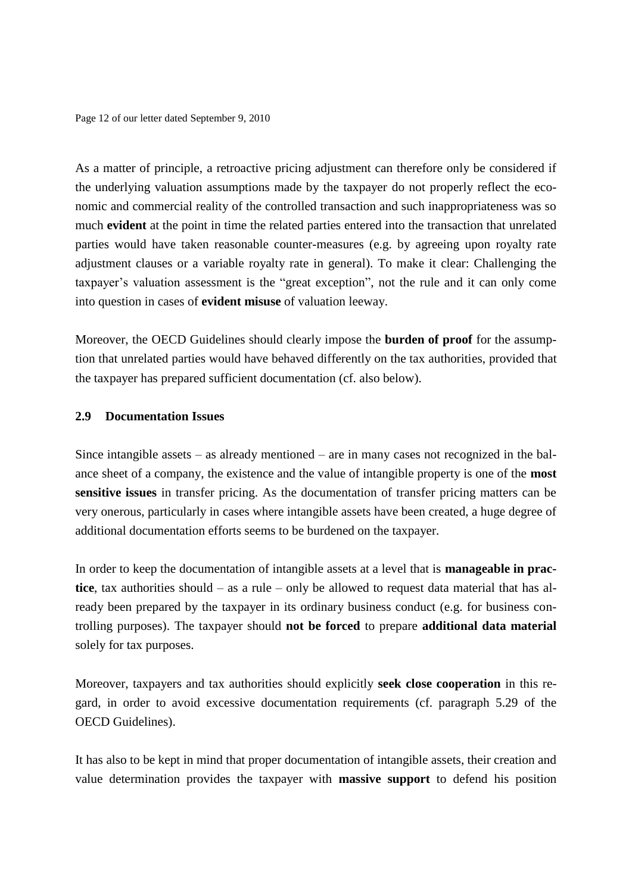Page 12 of our letter dated September 9, 2010

As a matter of principle, a retroactive pricing adjustment can therefore only be considered if the underlying valuation assumptions made by the taxpayer do not properly reflect the economic and commercial reality of the controlled transaction and such inappropriateness was so much **evident** at the point in time the related parties entered into the transaction that unrelated parties would have taken reasonable counter-measures (e.g. by agreeing upon royalty rate adjustment clauses or a variable royalty rate in general). To make it clear: Challenging the taxpayer's valuation assessment is the "great exception", not the rule and it can only come into question in cases of **evident misuse** of valuation leeway.

Moreover, the OECD Guidelines should clearly impose the **burden of proof** for the assumption that unrelated parties would have behaved differently on the tax authorities, provided that the taxpayer has prepared sufficient documentation (cf. also below).

### **2.9 Documentation Issues**

Since intangible assets – as already mentioned – are in many cases not recognized in the balance sheet of a company, the existence and the value of intangible property is one of the **most sensitive issues** in transfer pricing. As the documentation of transfer pricing matters can be very onerous, particularly in cases where intangible assets have been created, a huge degree of additional documentation efforts seems to be burdened on the taxpayer.

In order to keep the documentation of intangible assets at a level that is **manageable in practice**, tax authorities should – as a rule – only be allowed to request data material that has already been prepared by the taxpayer in its ordinary business conduct (e.g. for business controlling purposes). The taxpayer should **not be forced** to prepare **additional data material** solely for tax purposes.

Moreover, taxpayers and tax authorities should explicitly **seek close cooperation** in this regard, in order to avoid excessive documentation requirements (cf. paragraph 5.29 of the OECD Guidelines).

It has also to be kept in mind that proper documentation of intangible assets, their creation and value determination provides the taxpayer with **massive support** to defend his position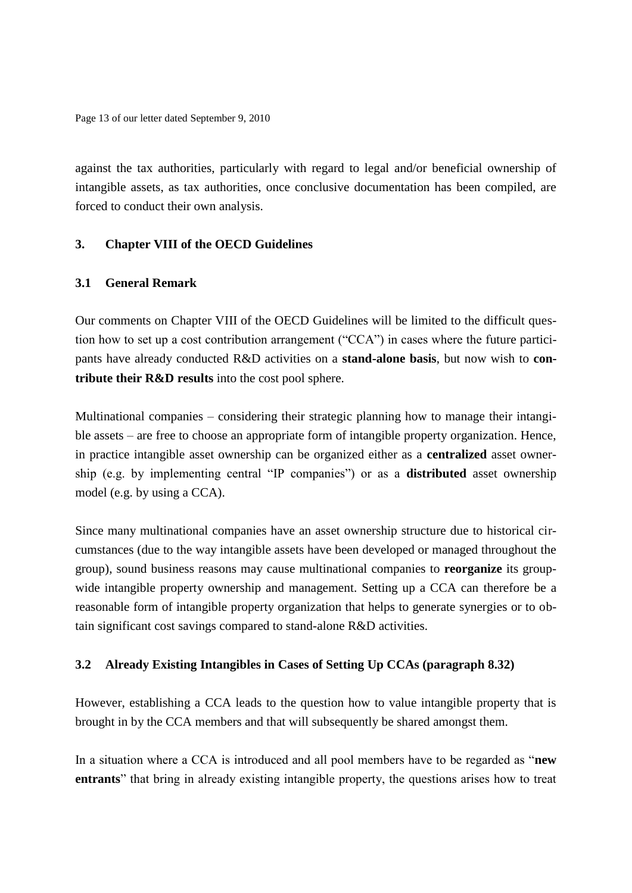Page 13 of our letter dated September 9, 2010

against the tax authorities, particularly with regard to legal and/or beneficial ownership of intangible assets, as tax authorities, once conclusive documentation has been compiled, are forced to conduct their own analysis.

# **3. Chapter VIII of the OECD Guidelines**

## **3.1 General Remark**

Our comments on Chapter VIII of the OECD Guidelines will be limited to the difficult question how to set up a cost contribution arrangement ("CCA") in cases where the future participants have already conducted R&D activities on a **stand-alone basis**, but now wish to **contribute their R&D results** into the cost pool sphere.

Multinational companies – considering their strategic planning how to manage their intangible assets – are free to choose an appropriate form of intangible property organization. Hence, in practice intangible asset ownership can be organized either as a **centralized** asset ownership (e.g. by implementing central "IP companies") or as a **distributed** asset ownership model (e.g. by using a CCA).

Since many multinational companies have an asset ownership structure due to historical circumstances (due to the way intangible assets have been developed or managed throughout the group), sound business reasons may cause multinational companies to **reorganize** its groupwide intangible property ownership and management. Setting up a CCA can therefore be a reasonable form of intangible property organization that helps to generate synergies or to obtain significant cost savings compared to stand-alone R&D activities.

# **3.2 Already Existing Intangibles in Cases of Setting Up CCAs (paragraph 8.32)**

However, establishing a CCA leads to the question how to value intangible property that is brought in by the CCA members and that will subsequently be shared amongst them.

In a situation where a CCA is introduced and all pool members have to be regarded as "**new entrants**" that bring in already existing intangible property, the questions arises how to treat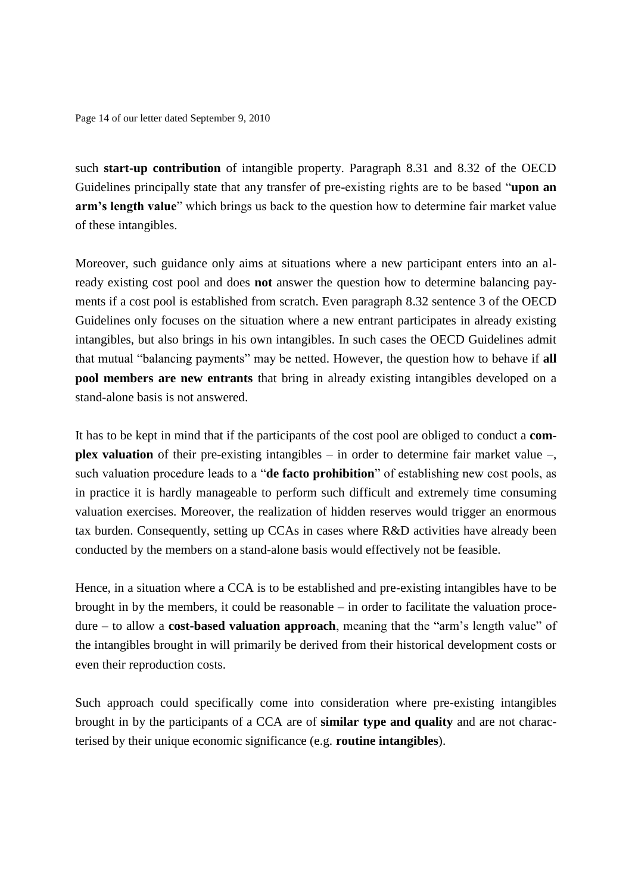Page 14 of our letter dated September 9, 2010

such **start-up contribution** of intangible property. Paragraph 8.31 and 8.32 of the OECD Guidelines principally state that any transfer of pre-existing rights are to be based "**upon an arm's length value**" which brings us back to the question how to determine fair market value of these intangibles.

Moreover, such guidance only aims at situations where a new participant enters into an already existing cost pool and does **not** answer the question how to determine balancing payments if a cost pool is established from scratch. Even paragraph 8.32 sentence 3 of the OECD Guidelines only focuses on the situation where a new entrant participates in already existing intangibles, but also brings in his own intangibles. In such cases the OECD Guidelines admit that mutual "balancing payments" may be netted. However, the question how to behave if **all pool members are new entrants** that bring in already existing intangibles developed on a stand-alone basis is not answered.

It has to be kept in mind that if the participants of the cost pool are obliged to conduct a **complex valuation** of their pre-existing intangibles – in order to determine fair market value –, such valuation procedure leads to a "**de facto prohibition**" of establishing new cost pools, as in practice it is hardly manageable to perform such difficult and extremely time consuming valuation exercises. Moreover, the realization of hidden reserves would trigger an enormous tax burden. Consequently, setting up CCAs in cases where R&D activities have already been conducted by the members on a stand-alone basis would effectively not be feasible.

Hence, in a situation where a CCA is to be established and pre-existing intangibles have to be brought in by the members, it could be reasonable – in order to facilitate the valuation procedure – to allow a **cost-based valuation approach**, meaning that the "arm's length value" of the intangibles brought in will primarily be derived from their historical development costs or even their reproduction costs.

Such approach could specifically come into consideration where pre-existing intangibles brought in by the participants of a CCA are of **similar type and quality** and are not characterised by their unique economic significance (e.g. **routine intangibles**).